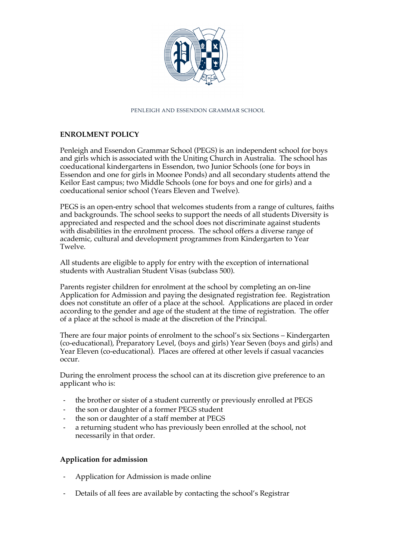

### PENLEIGH AND ESSENDON GRAMMAR SCHOOL

# **ENROLMENT POLICY**

Penleigh and Essendon Grammar School (PEGS) is an independent school for boys and girls which is associated with the Uniting Church in Australia. The school has coeducational kindergartens in Essendon, two Junior Schools (one for boys in Essendon and one for girls in Moonee Ponds) and all secondary students attend the Keilor East campus; two Middle Schools (one for boys and one for girls) and a coeducational senior school (Years Eleven and Twelve).

PEGS is an open-entry school that welcomes students from a range of cultures, faiths and backgrounds. The school seeks to support the needs of all students Diversity is appreciated and respected and the school does not discriminate against students with disabilities in the enrolment process. The school offers a diverse range of academic, cultural and development programmes from Kindergarten to Year Twelve.

All students are eligible to apply for entry with the exception of international students with Australian Student Visas (subclass 500).

Parents register children for enrolment at the school by completing an on-line Application for Admission and paying the designated registration fee. Registration does not constitute an offer of a place at the school. Applications are placed in order according to the gender and age of the student at the time of registration. The offer of a place at the school is made at the discretion of the Principal.

There are four major points of enrolment to the school's six Sections – Kindergarten (co-educational), Preparatory Level, (boys and girls) Year Seven (boys and girls) and Year Eleven (co-educational). Places are offered at other levels if casual vacancies occur.

During the enrolment process the school can at its discretion give preference to an applicant who is:

- the brother or sister of a student currently or previously enrolled at PEGS
- the son or daughter of a former PEGS student
- the son or daughter of a staff member at PEGS
- a returning student who has previously been enrolled at the school, not necessarily in that order.

## **Application for admission**

- Application for Admission is made online
- Details of all fees are available by contacting the school's Registrar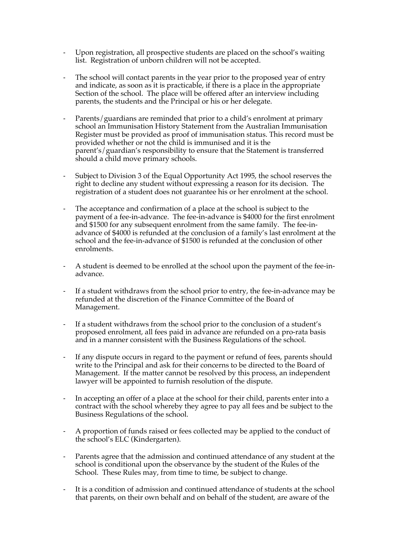- Upon registration, all prospective students are placed on the school's waiting list. Registration of unborn children will not be accepted.
- The school will contact parents in the year prior to the proposed year of entry and indicate, as soon as it is practicable, if there is a place in the appropriate Section of the school. The place will be offered after an interview including parents, the students and the Principal or his or her delegate.
- Parents/guardians are reminded that prior to a child's enrolment at primary school an Immunisation History Statement from the Australian Immunisation Register must be provided as proof of immunisation status. This record must be provided whether or not the child is immunised and it is the parent's/guardian's responsibility to ensure that the Statement is transferred should a child move primary schools.
- Subject to Division 3 of the Equal Opportunity Act 1995, the school reserves the right to decline any student without expressing a reason for its decision. The registration of a student does not guarantee his or her enrolment at the school.
- The acceptance and confirmation of a place at the school is subject to the payment of a fee-in-advance. The fee-in-advance is \$4000 for the first enrolment and \$1500 for any subsequent enrolment from the same family. The fee-inadvance of \$4000 is refunded at the conclusion of a family's last enrolment at the school and the fee-in-advance of \$1500 is refunded at the conclusion of other enrolments.
- A student is deemed to be enrolled at the school upon the payment of the fee-inadvance.
- If a student withdraws from the school prior to entry, the fee-in-advance may be refunded at the discretion of the Finance Committee of the Board of Management.
- If a student withdraws from the school prior to the conclusion of a student's proposed enrolment, all fees paid in advance are refunded on a pro-rata basis and in a manner consistent with the Business Regulations of the school.
- If any dispute occurs in regard to the payment or refund of fees, parents should write to the Principal and ask for their concerns to be directed to the Board of Management. If the matter cannot be resolved by this process, an independent lawyer will be appointed to furnish resolution of the dispute.
- In accepting an offer of a place at the school for their child, parents enter into a contract with the school whereby they agree to pay all fees and be subject to the Business Regulations of the school.
- A proportion of funds raised or fees collected may be applied to the conduct of the school's ELC (Kindergarten).
- Parents agree that the admission and continued attendance of any student at the school is conditional upon the observance by the student of the Rules of the School. These Rules may, from time to time, be subject to change.
- It is a condition of admission and continued attendance of students at the school that parents, on their own behalf and on behalf of the student, are aware of the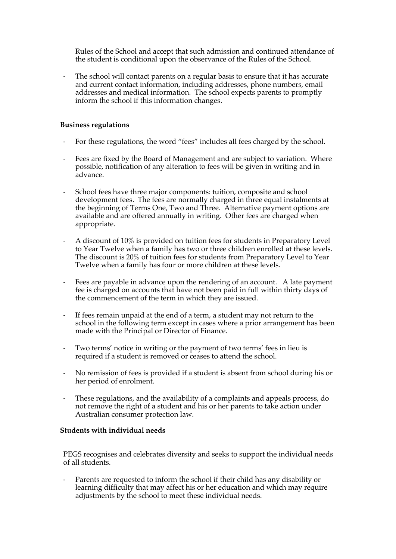Rules of the School and accept that such admission and continued attendance of the student is conditional upon the observance of the Rules of the School.

The school will contact parents on a regular basis to ensure that it has accurate and current contact information, including addresses, phone numbers, email addresses and medical information. The school expects parents to promptly inform the school if this information changes.

## **Business regulations**

- For these regulations, the word "fees" includes all fees charged by the school.
- Fees are fixed by the Board of Management and are subject to variation. Where possible, notification of any alteration to fees will be given in writing and in advance.
- School fees have three major components: tuition, composite and school development fees. The fees are normally charged in three equal instalments at the beginning of Terms One, Two and Three. Alternative payment options are available and are offered annually in writing. Other fees are charged when appropriate.
- A discount of 10% is provided on tuition fees for students in Preparatory Level to Year Twelve when a family has two or three children enrolled at these levels. The discount is 20% of tuition fees for students from Preparatory Level to Year Twelve when a family has four or more children at these levels.
- Fees are payable in advance upon the rendering of an account. A late payment fee is charged on accounts that have not been paid in full within thirty days of the commencement of the term in which they are issued.
- If fees remain unpaid at the end of a term, a student may not return to the school in the following term except in cases where a prior arrangement has been made with the Principal or Director of Finance.
- Two terms' notice in writing or the payment of two terms' fees in lieu is required if a student is removed or ceases to attend the school.
- No remission of fees is provided if a student is absent from school during his or her period of enrolment.
- These regulations, and the availability of a complaints and appeals process, do not remove the right of a student and his or her parents to take action under Australian consumer protection law.

## **Students with individual needs**

PEGS recognises and celebrates diversity and seeks to support the individual needs of all students.

Parents are requested to inform the school if their child has any disability or learning difficulty that may affect his or her education and which may require adjustments by the school to meet these individual needs.